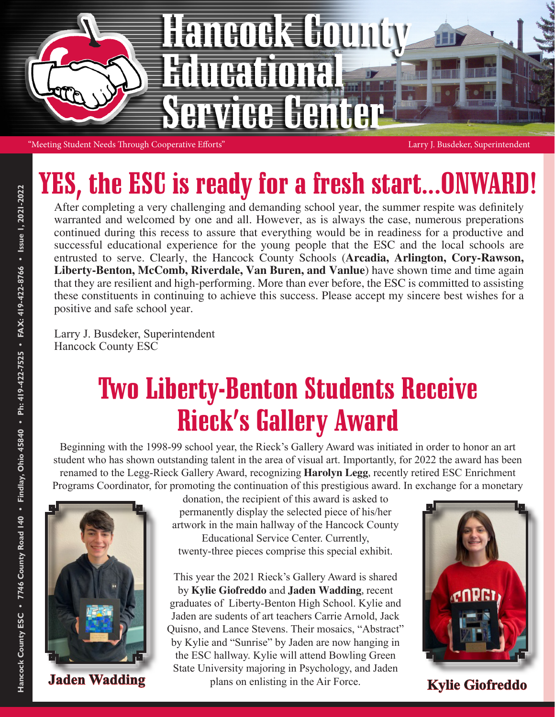

### YES, the ESC is ready for a fresh start...ONWARI

After completing a very challenging and demanding school year, the summer respite was definitely warranted and welcomed by one and all. However, as is always the case, numerous preperations continued during this recess to assure that everything would be in readiness for a productive and successful educational experience for the young people that the ESC and the local schools are entrusted to serve. Clearly, the Hancock County Schools (**Arcadia, Arlington, Cory-Rawson, Liberty-Benton, McComb, Riverdale, Van Buren, and Vanlue**) have shown time and time again that they are resilient and high-performing. More than ever before, the ESC is committed to assisting these constituents in continuing to achieve this success. Please accept my sincere best wishes for a positive and safe school year.

Larry J. Busdeker, Superintendent Hancock County ESC

#### Two Liberty-Benton Students Receive Rieck's Gallery Award

Beginning with the 1998-99 school year, the Rieck's Gallery Award was initiated in order to honor an art student who has shown outstanding talent in the area of visual art. Importantly, for 2022 the award has been renamed to the Legg-Rieck Gallery Award, recognizing **Harolyn Legg**, recently retired ESC Enrichment Programs Coordinator, for promoting the continuation of this prestigious award. In exchange for a monetary



donation, the recipient of this award is asked to permanently display the selected piece of his/her artwork in the main hallway of the Hancock County Educational Service Center. Currently, twenty-three pieces comprise this special exhibit.

This year the 2021 Rieck's Gallery Award is shared by **Kylie Giofreddo** and **Jaden Wadding**, recent graduates of Liberty-Benton High School. Kylie and Jaden are sudents of art teachers Carrie Arnold, Jack Quisno, and Lance Stevens. Their mosaics, "Abstract" by Kylie and "Sunrise" by Jaden are now hanging in the ESC hallway. Kylie will attend Bowling Green State University majoring in Psychology, and Jaden **Jaden Wadding** plans on enlisting in the Air Force. **Kylie Giofreddo** 

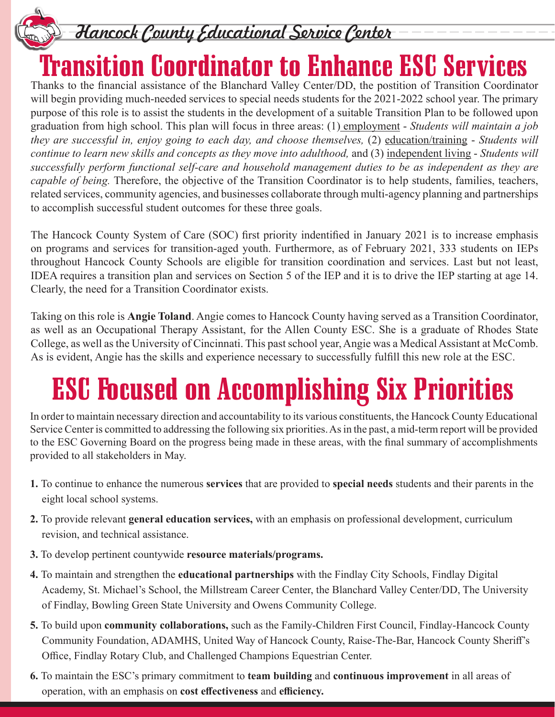

Hancock County Educational Service Center

### Transition Coordinator to Enhance ESC Services

Thanks to the financial assistance of the Blanchard Valley Center/DD, the postition of Transition Coordinator will begin providing much-needed services to special needs students for the 2021-2022 school year. The primary purpose of this role is to assist the students in the development of a suitable Transition Plan to be followed upon graduation from high school. This plan will focus in three areas: (1) employment - *Students will maintain a job they are successful in, enjoy going to each day, and choose themselves,* (2) education/training - *Students will continue to learn new skills and concepts as they move into adulthood,* and (3) independent living - *Students will successfully perform functional self-care and household management duties to be as independent as they are capable of being.* Therefore, the objective of the Transition Coordinator is to help students, families, teachers, related services, community agencies, and businesses collaborate through multi-agency planning and partnerships to accomplish successful student outcomes for these three goals.

The Hancock County System of Care (SOC) first priority indentified in January 2021 is to increase emphasis on programs and services for transition-aged youth. Furthermore, as of February 2021, 333 students on IEPs throughout Hancock County Schools are eligible for transition coordination and services. Last but not least, IDEA requires a transition plan and services on Section 5 of the IEP and it is to drive the IEP starting at age 14. Clearly, the need for a Transition Coordinator exists.

Taking on this role is **Angie Toland**. Angie comes to Hancock County having served as a Transition Coordinator, as well as an Occupational Therapy Assistant, for the Allen County ESC. She is a graduate of Rhodes State College, as well as the University of Cincinnati. This past school year, Angie was a Medical Assistant at McComb. As is evident, Angie has the skills and experience necessary to successfully fulfill this new role at the ESC.

## ESC Focused on Accomplishing Six Priorities

In order to maintain necessary direction and accountability to its various constituents, the Hancock County Educational Service Center is committed to addressing the following six priorities. As in the past, a mid-term report will be provided to the ESC Governing Board on the progress being made in these areas, with the final summary of accomplishments provided to all stakeholders in May.

- **1.** To continue to enhance the numerous **services** that are provided to **special needs** students and their parents in the eight local school systems.
- **2.** To provide relevant **general education services,** with an emphasis on professional development, curriculum revision, and technical assistance.
- **3.** To develop pertinent countywide **resource materials/programs.**
- **4.** To maintain and strengthen the **educational partnerships** with the Findlay City Schools, Findlay Digital Academy, St. Michael's School, the Millstream Career Center, the Blanchard Valley Center/DD, The University of Findlay, Bowling Green State University and Owens Community College.
- **5.** To build upon **community collaborations,** such as the Family-Children First Council, Findlay-Hancock County Community Foundation, ADAMHS, United Way of Hancock County, Raise-The-Bar, Hancock County Sheriff's Office, Findlay Rotary Club, and Challenged Champions Equestrian Center.
- **6.** To maintain the ESC's primary commitment to **team building** and **continuous improvement** in all areas of operation, with an emphasis on **cost effectiveness** and **efficiency.**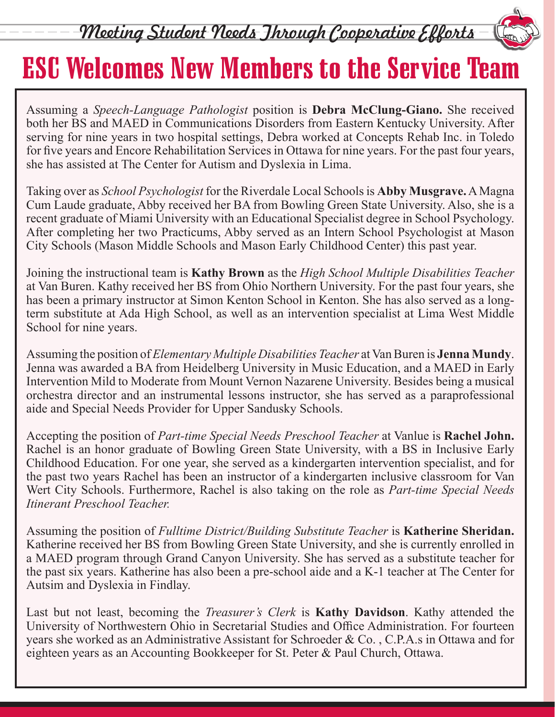Meeting Student Needs Jhrough Cooperative Efforts

#### ESC Welcomes New Members to the Service Team

Assuming a *Speech-Language Pathologist* position is **Debra McClung-Giano.** She received both her BS and MAED in Communications Disorders from Eastern Kentucky University. After serving for nine years in two hospital settings, Debra worked at Concepts Rehab Inc. in Toledo for five years and Encore Rehabilitation Services in Ottawa for nine years. For the past four years, she has assisted at The Center for Autism and Dyslexia in Lima.

Taking over as *School Psychologist* for the Riverdale Local Schools is **Abby Musgrave.** A Magna Cum Laude graduate, Abby received her BA from Bowling Green State University. Also, she is a recent graduate of Miami University with an Educational Specialist degree in School Psychology. After completing her two Practicums, Abby served as an Intern School Psychologist at Mason City Schools (Mason Middle Schools and Mason Early Childhood Center) this past year.

Joining the instructional team is **Kathy Brown** as the *High School Multiple Disabilities Teacher* at Van Buren. Kathy received her BS from Ohio Northern University. For the past four years, she has been a primary instructor at Simon Kenton School in Kenton. She has also served as a longterm substitute at Ada High School, as well as an intervention specialist at Lima West Middle School for nine years.

Assuming the position of *Elementary Multiple Disabilities Teacher* at Van Buren is **Jenna Mundy**. Jenna was awarded a BA from Heidelberg University in Music Education, and a MAED in Early Intervention Mild to Moderate from Mount Vernon Nazarene University. Besides being a musical orchestra director and an instrumental lessons instructor, she has served as a paraprofessional aide and Special Needs Provider for Upper Sandusky Schools.

Accepting the position of *Part-time Special Needs Preschool Teacher* at Vanlue is **Rachel John.** Rachel is an honor graduate of Bowling Green State University, with a BS in Inclusive Early Childhood Education. For one year, she served as a kindergarten intervention specialist, and for the past two years Rachel has been an instructor of a kindergarten inclusive classroom for Van Wert City Schools. Furthermore, Rachel is also taking on the role as *Part-time Special Needs Itinerant Preschool Teacher.*

Assuming the position of *Fulltime District/Building Substitute Teacher* is **Katherine Sheridan.** Katherine received her BS from Bowling Green State University, and she is currently enrolled in a MAED program through Grand Canyon University. She has served as a substitute teacher for the past six years. Katherine has also been a pre-school aide and a K-1 teacher at The Center for Autsim and Dyslexia in Findlay.

Last but not least, becoming the *Treasurer's Clerk* is **Kathy Davidson**. Kathy attended the University of Northwestern Ohio in Secretarial Studies and Office Administration. For fourteen years she worked as an Administrative Assistant for Schroeder & Co. , C.P.A.s in Ottawa and for eighteen years as an Accounting Bookkeeper for St. Peter & Paul Church, Ottawa.